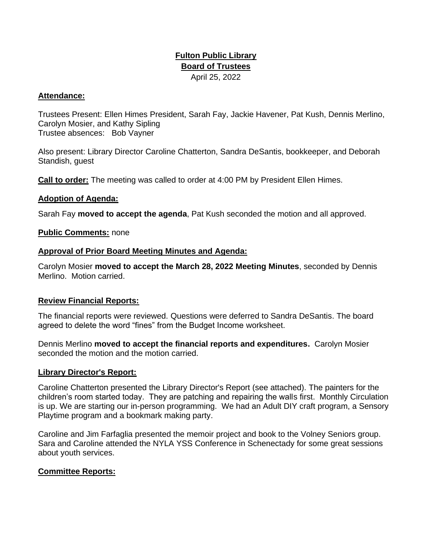# **Fulton Public Library Board of Trustees**  April 25, 2022

## **Attendance:**

Trustees Present: Ellen Himes President, Sarah Fay, Jackie Havener, Pat Kush, Dennis Merlino, Carolyn Mosier, and Kathy Sipling Trustee absences: Bob Vayner

Also present: Library Director Caroline Chatterton, Sandra DeSantis, bookkeeper, and Deborah Standish, guest

**Call to order:** The meeting was called to order at 4:00 PM by President Ellen Himes.

## **Adoption of Agenda:**

Sarah Fay **moved to accept the agenda**, Pat Kush seconded the motion and all approved.

#### **Public Comments:** none

#### **Approval of Prior Board Meeting Minutes and Agenda:**

Carolyn Mosier **moved to accept the March 28, 2022 Meeting Minutes**, seconded by Dennis Merlino. Motion carried.

#### **Review Financial Reports:**

The financial reports were reviewed. Questions were deferred to Sandra DeSantis. The board agreed to delete the word "fines" from the Budget Income worksheet.

Dennis Merlino **moved to accept the financial reports and expenditures.** Carolyn Mosier seconded the motion and the motion carried.

#### **Library Director's Report:**

Caroline Chatterton presented the Library Director's Report (see attached). The painters for the children's room started today. They are patching and repairing the walls first. Monthly Circulation is up. We are starting our in-person programming. We had an Adult DIY craft program, a Sensory Playtime program and a bookmark making party.

Caroline and Jim Farfaglia presented the memoir project and book to the Volney Seniors group. Sara and Caroline attended the NYLA YSS Conference in Schenectady for some great sessions about youth services.

## **Committee Reports:**